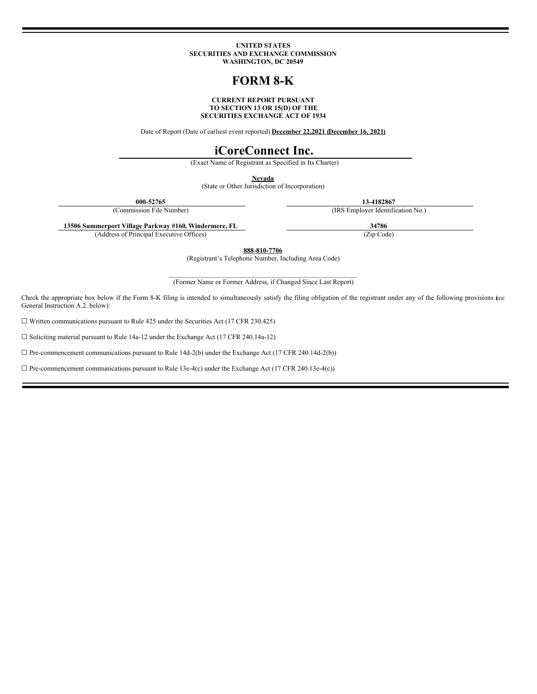#### **UNITED STATES SECURITIES AND EXCHANGE COMMISSION WASHINGTON, DC 20549**

## **FORM 8-K**

#### **CURRENT REPORT PURSUANT TO SECTION 13 OR 15(D) OF THE SECURITIES EXCHANGE ACT OF 1934**

Date of Report (Date of earliest event reported) **December 22,2021 (December 16, 2021)**

### **iCoreConnect Inc.**

(Exact Name of Registrant as Specified in Its Charter)

**Nevada**

(State or Other Jurisdiction of Incorporation)

**000-52765 13-4182867**

(Commission File Number) (IRS Employer Identification No.)

**13506 Summerport Village Parkway #160, Windermere, FL 34786**

(Address of Principal Executive Offices) (Zip Code)

**888-810-7706**

(Registrant's Telephone Number, Including Area Code)

 $\mathcal{L}_\text{max}$  and the contract of the contract of the contract of the contract of the contract of the contract of the contract of the contract of the contract of the contract of the contract of the contract of the contrac (Former Name or Former Address, if Changed Since Last Report)

Check the appropriate box below if the Form 8-K filing is intended to simultaneously satisfy the filing obligation of the registrant under any of the following provisions (*see* General Instruction A.2. below):

 $\Box$  Written communications pursuant to Rule 425 under the Securities Act (17 CFR 230.425)

☐ Soliciting material pursuant to Rule 14a-12 under the Exchange Act (17 CFR 240.14a-12)

 $\Box$  Pre-commencement communications pursuant to Rule 14d-2(b) under the Exchange Act (17 CFR 240.14d-2(b))

 $\Box$  Pre-commencement communications pursuant to Rule 13e-4(c) under the Exchange Act (17 CFR 240.13e-4(c))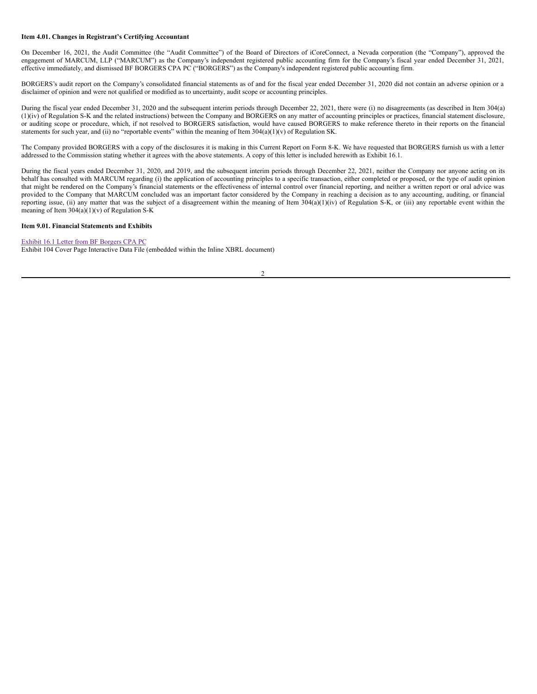#### **Item 4.01. Changes in Registrant's Certifying Accountant**

On December 16, 2021, the Audit Committee (the "Audit Committee") of the Board of Directors of iCoreConnect, a Nevada corporation (the "Company"), approved the engagement of MARCUM, LLP ("MARCUM") as the Company's independent registered public accounting firm for the Company's fiscal year ended December 31, 2021, effective immediately, and dismissed BF BORGERS CPA PC ("BORGERS") as the Company's independent registered public accounting firm.

BORGERS's audit report on the Company's consolidated financial statements as of and for the fiscal year ended December 31, 2020 did not contain an adverse opinion or a disclaimer of opinion and were not qualified or modified as to uncertainty, audit scope or accounting principles.

During the fiscal year ended December 31, 2020 and the subsequent interim periods through December 22, 2021, there were (i) no disagreements (as described in Item 304(a) (1)(iv) of Regulation S-K and the related instructions) between the Company and BORGERS on any matter of accounting principles or practices, financial statement disclosure, or auditing scope or procedure, which, if not resolved to BORGERS satisfaction, would have caused BORGERS to make reference thereto in their reports on the financial statements for such year, and (ii) no "reportable events" within the meaning of Item  $304(a)(1)(v)$  of Regulation SK.

The Company provided BORGERS with a copy of the disclosures it is making in this Current Report on Form 8-K. We have requested that BORGERS furnish us with a letter addressed to the Commission stating whether it agrees with the above statements. A copy of this letter is included herewith as Exhibit 16.1.

During the fiscal years ended December 31, 2020, and 2019, and the subsequent interim periods through December 22, 2021, neither the Company nor anyone acting on its behalf has consulted with MARCUM regarding (i) the application of accounting principles to a specific transaction, either completed or proposed, or the type of audit opinion that might be rendered on the Company's financial statements or the effectiveness of internal control over financial reporting, and neither a written report or oral advice was provided to the Company that MARCUM concluded was an important factor considered by the Company in reaching a decision as to any accounting, auditing, or financial reporting issue, (ii) any matter that was the subject of a disagreement within the meaning of Item 304(a)(1)(iv) of Regulation S-K, or (iii) any reportable event within the meaning of Item 304(a)(1)(v) of Regulation S-K

#### **Item 9.01. Financial Statements and Exhibits**

#### Exhibit 16.1 Letter from BF [Borgers](#page-3-0) CPA PC

Exhibit 104 Cover Page Interactive Data File (embedded within the Inline XBRL document)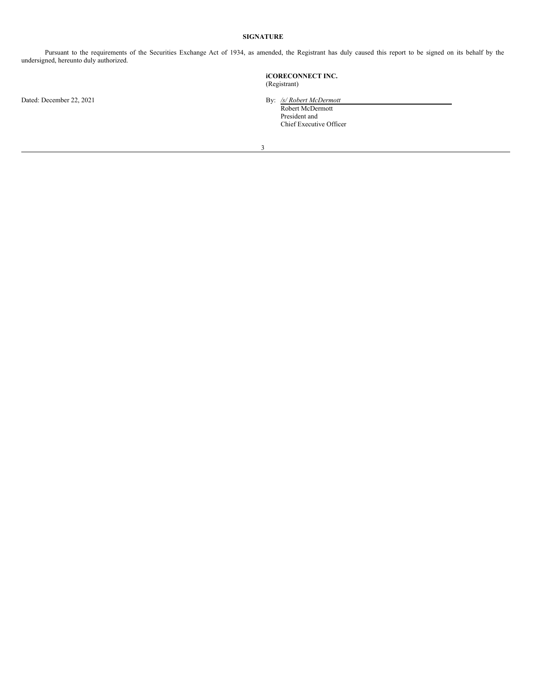#### **SIGNATURE**

Pursuant to the requirements of the Securities Exchange Act of 1934, as amended, the Registrant has duly caused this report to be signed on its behalf by the undersigned, hereunto duly authorized.

Dated: December 22, 2021 **By:** */s/ Robert McDermott* 

# **iCORECONNECT INC.** (Registrant)

Robert McDermott President and Chief Executive Officer